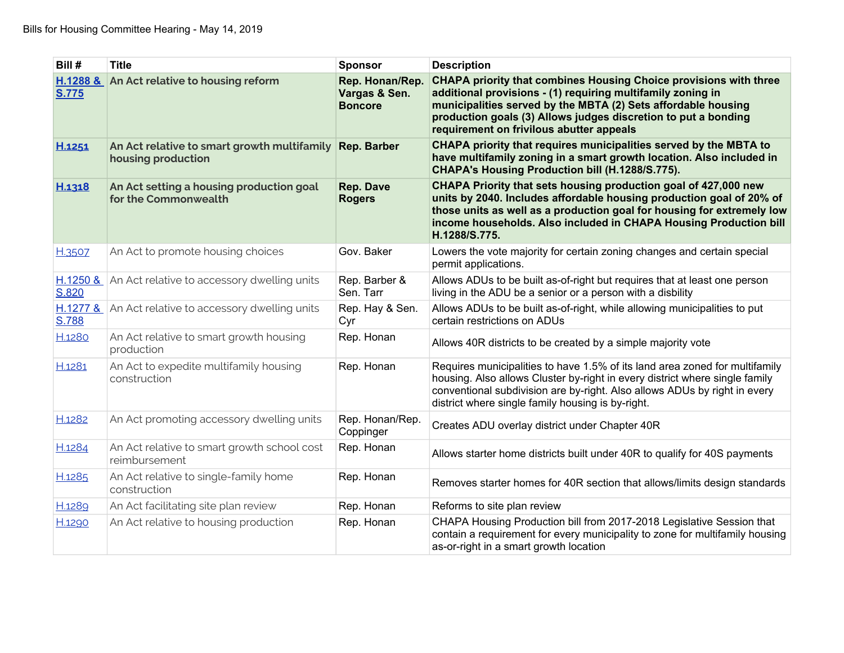| Bill #       | <b>Title</b>                                                      | <b>Sponsor</b>                                     | <b>Description</b>                                                                                                                                                                                                                                                                                                     |
|--------------|-------------------------------------------------------------------|----------------------------------------------------|------------------------------------------------------------------------------------------------------------------------------------------------------------------------------------------------------------------------------------------------------------------------------------------------------------------------|
| <b>S.775</b> | H.1288 & An Act relative to housing reform                        | Rep. Honan/Rep.<br>Vargas & Sen.<br><b>Boncore</b> | <b>CHAPA priority that combines Housing Choice provisions with three</b><br>additional provisions - (1) requiring multifamily zoning in<br>municipalities served by the MBTA (2) Sets affordable housing<br>production goals (3) Allows judges discretion to put a bonding<br>requirement on frivilous abutter appeals |
| H.1251       | An Act relative to smart growth multifamily<br>housing production | <b>Rep. Barber</b>                                 | CHAPA priority that requires municipalities served by the MBTA to<br>have multifamily zoning in a smart growth location. Also included in<br>CHAPA's Housing Production bill (H.1288/S.775).                                                                                                                           |
| H.1318       | An Act setting a housing production goal<br>for the Commonwealth  | <b>Rep. Dave</b><br><b>Rogers</b>                  | CHAPA Priority that sets housing production goal of 427,000 new<br>units by 2040. Includes affordable housing production goal of 20% of<br>those units as well as a production goal for housing for extremely low<br>income households. Also included in CHAPA Housing Production bill<br>H.1288/S.775.                |
| H.3507       | An Act to promote housing choices                                 | Gov. Baker                                         | Lowers the vote majority for certain zoning changes and certain special<br>permit applications.                                                                                                                                                                                                                        |
| S.820        | $H.1250$ & An Act relative to accessory dwelling units            | Rep. Barber &<br>Sen. Tarr                         | Allows ADUs to be built as-of-right but requires that at least one person<br>living in the ADU be a senior or a person with a disbility                                                                                                                                                                                |
| S.788        | H.1277 & An Act relative to accessory dwelling units              | Rep. Hay & Sen.<br>Cyr                             | Allows ADUs to be built as-of-right, while allowing municipalities to put<br>certain restrictions on ADUs                                                                                                                                                                                                              |
| H.1280       | An Act relative to smart growth housing<br>production             | Rep. Honan                                         | Allows 40R districts to be created by a simple majority vote                                                                                                                                                                                                                                                           |
| H.1281       | An Act to expedite multifamily housing<br>construction            | Rep. Honan                                         | Requires municipalities to have 1.5% of its land area zoned for multifamily<br>housing. Also allows Cluster by-right in every district where single family<br>conventional subdivision are by-right. Also allows ADUs by right in every<br>district where single family housing is by-right.                           |
| H.1282       | An Act promoting accessory dwelling units                         | Rep. Honan/Rep.<br>Coppinger                       | Creates ADU overlay district under Chapter 40R                                                                                                                                                                                                                                                                         |
| H.1284       | An Act relative to smart growth school cost<br>reimbursement      | Rep. Honan                                         | Allows starter home districts built under 40R to qualify for 40S payments                                                                                                                                                                                                                                              |
| H.1285       | An Act relative to single-family home<br>construction             | Rep. Honan                                         | Removes starter homes for 40R section that allows/limits design standards                                                                                                                                                                                                                                              |
| H.1289       | An Act facilitating site plan review                              | Rep. Honan                                         | Reforms to site plan review                                                                                                                                                                                                                                                                                            |
| H.1290       | An Act relative to housing production                             | Rep. Honan                                         | CHAPA Housing Production bill from 2017-2018 Legislative Session that<br>contain a requirement for every municipality to zone for multifamily housing<br>as-or-right in a smart growth location                                                                                                                        |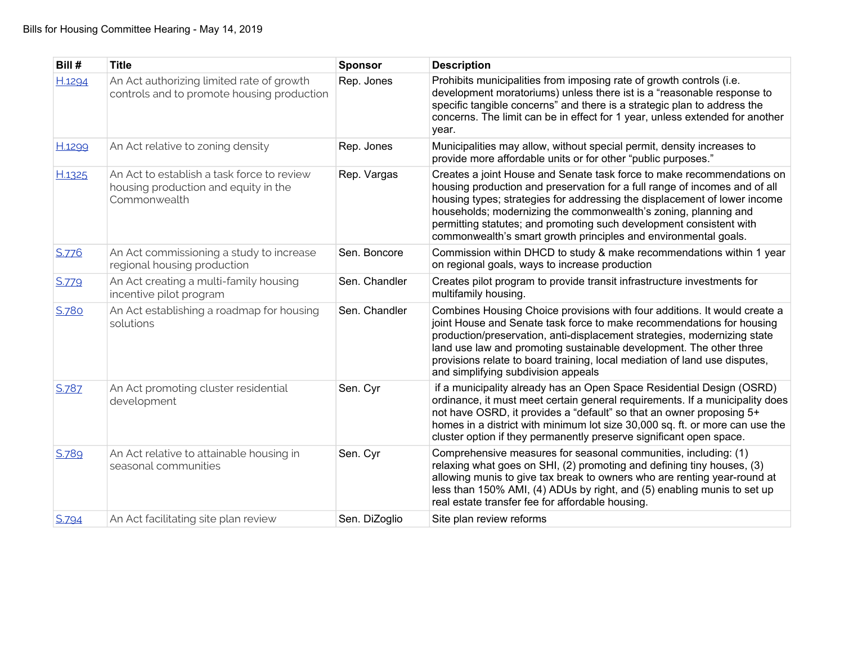| Bill # | <b>Title</b>                                                                                       | <b>Sponsor</b> | <b>Description</b>                                                                                                                                                                                                                                                                                                                                                                                                                             |
|--------|----------------------------------------------------------------------------------------------------|----------------|------------------------------------------------------------------------------------------------------------------------------------------------------------------------------------------------------------------------------------------------------------------------------------------------------------------------------------------------------------------------------------------------------------------------------------------------|
| H.1294 | An Act authorizing limited rate of growth<br>controls and to promote housing production            | Rep. Jones     | Prohibits municipalities from imposing rate of growth controls (i.e.<br>development moratoriums) unless there ist is a "reasonable response to<br>specific tangible concerns" and there is a strategic plan to address the<br>concerns. The limit can be in effect for 1 year, unless extended for another<br>year.                                                                                                                            |
| H.1299 | An Act relative to zoning density                                                                  | Rep. Jones     | Municipalities may allow, without special permit, density increases to<br>provide more affordable units or for other "public purposes."                                                                                                                                                                                                                                                                                                        |
| H.1325 | An Act to establish a task force to review<br>housing production and equity in the<br>Commonwealth | Rep. Vargas    | Creates a joint House and Senate task force to make recommendations on<br>housing production and preservation for a full range of incomes and of all<br>housing types; strategies for addressing the displacement of lower income<br>households; modernizing the commonwealth's zoning, planning and<br>permitting statutes; and promoting such development consistent with<br>commonwealth's smart growth principles and environmental goals. |
| S.776  | An Act commissioning a study to increase<br>regional housing production                            | Sen. Boncore   | Commission within DHCD to study & make recommendations within 1 year<br>on regional goals, ways to increase production                                                                                                                                                                                                                                                                                                                         |
| S.779  | An Act creating a multi-family housing<br>incentive pilot program                                  | Sen. Chandler  | Creates pilot program to provide transit infrastructure investments for<br>multifamily housing.                                                                                                                                                                                                                                                                                                                                                |
| S.780  | An Act establishing a roadmap for housing<br>solutions                                             | Sen. Chandler  | Combines Housing Choice provisions with four additions. It would create a<br>joint House and Senate task force to make recommendations for housing<br>production/preservation, anti-displacement strategies, modernizing state<br>land use law and promoting sustainable development. The other three<br>provisions relate to board training, local mediation of land use disputes,<br>and simplifying subdivision appeals                     |
| S.787  | An Act promoting cluster residential<br>development                                                | Sen. Cyr       | if a municipality already has an Open Space Residential Design (OSRD)<br>ordinance, it must meet certain general requirements. If a municipality does<br>not have OSRD, it provides a "default" so that an owner proposing 5+<br>homes in a district with minimum lot size 30,000 sq. ft. or more can use the<br>cluster option if they permanently preserve significant open space.                                                           |
| S.789  | An Act relative to attainable housing in<br>seasonal communities                                   | Sen. Cyr       | Comprehensive measures for seasonal communities, including: (1)<br>relaxing what goes on SHI, (2) promoting and defining tiny houses, (3)<br>allowing munis to give tax break to owners who are renting year-round at<br>less than 150% AMI, (4) ADUs by right, and (5) enabling munis to set up<br>real estate transfer fee for affordable housing.                                                                                           |
| S.794  | An Act facilitating site plan review                                                               | Sen. DiZoglio  | Site plan review reforms                                                                                                                                                                                                                                                                                                                                                                                                                       |